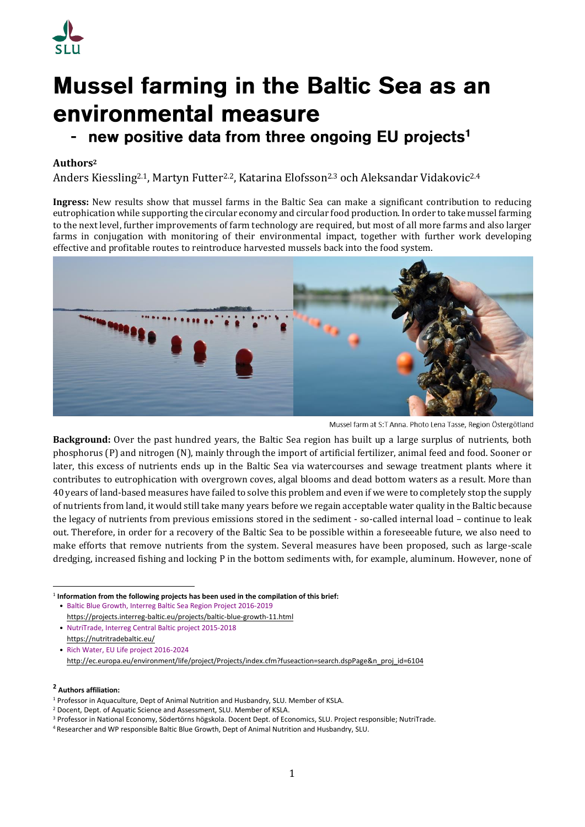

# **Mussel farming in the Baltic Sea as an** environmental measure

# new positive data from three ongoing EU projects<sup>1</sup>

# **Authors<sup>2</sup>**

Anders Kiessling<sup>2.1</sup>, Martyn Futter<sup>2.2</sup>, Katarina Elofsson<sup>2.3</sup> och Aleksandar Vidakovic<sup>2.4</sup>

**Ingress:** New results show that mussel farms in the Baltic Sea can make a significant contribution to reducing eutrophication while supporting the circular economy and circular food production. In order to take mussel farming to the next level, further improvements of farm technology are required, but most of all more farms and also larger farms in conjugation with monitoring of their environmental impact, together with further work developing effective and profitable routes to reintroduce harvested mussels back into the food system.



Mussel farm at S:T Anna. Photo Lena Tasse, Region Östergötland

**Background:** Over the past hundred years, the Baltic Sea region has built up a large surplus of nutrients, both phosphorus (P) and nitrogen (N), mainly through the import of artificial fertilizer, animal feed and food. Sooner or later, this excess of nutrients ends up in the Baltic Sea via watercourses and sewage treatment plants where it contributes to eutrophication with overgrown coves, algal blooms and dead bottom waters as a result. More than 40 years of land-based measures have failed to solve this problem and even if we were to completely stop the supply of nutrients from land, it would still take many years before we regain acceptable water quality in the Baltic because the legacy of nutrients from previous emissions stored in the sediment - so-called internal load – continue to leak out. Therefore, in order for a recovery of the Baltic Sea to be possible within a foreseeable future, we also need to make efforts that remove nutrients from the system. Several measures have been proposed, such as large-scale dredging, increased fishing and locking P in the bottom sediments with, for example, aluminum. However, none of

**2 Authors affiliation:**

**<sup>.</sup>** <sup>1</sup> Information from the following projects has been used in the compilation of this brief:

<sup>•</sup> [Baltic Blue Growth, Interreg Baltic Sea Region Project 2016-2019](https://projects.interreg-baltic.eu/projects/baltic-blue-growth-11.html) <https://projects.interreg-baltic.eu/projects/baltic-blue-growth-11.html>

<sup>•</sup> [NutriTrade, Interreg Central Baltic project 2015-2018](https://nutritradebaltic.eu/) <https://nutritradebaltic.eu/>

<sup>•</sup> [Rich Water, EU Life project 2016-2024](http://ec.europa.eu/environment/life/project/Projects/index.cfm?fuseaction=search.dspPage&n_proj_id=6104) [http://ec.europa.eu/environment/life/project/Projects/index.cfm?fuseaction=search.dspPage&n\\_proj\\_id=6104](http://ec.europa.eu/environment/life/project/Projects/index.cfm?fuseaction=search.dspPage&n_proj_id=6104)

<sup>1</sup> Professor in Aquaculture, Dept of Animal Nutrition and Husbandry, SLU. Member of KSLA.

<sup>2</sup> Docent, Dept. of Aquatic Science and Assessment, SLU. Member of KSLA.

<sup>3</sup> Professor in National Economy, Södertörns högskola. Docent Dept. of Economics, SLU. Project responsible; NutriTrade.

<sup>4</sup> Researcher and WP responsible Baltic Blue Growth, Dept of Animal Nutrition and Husbandry, SLU.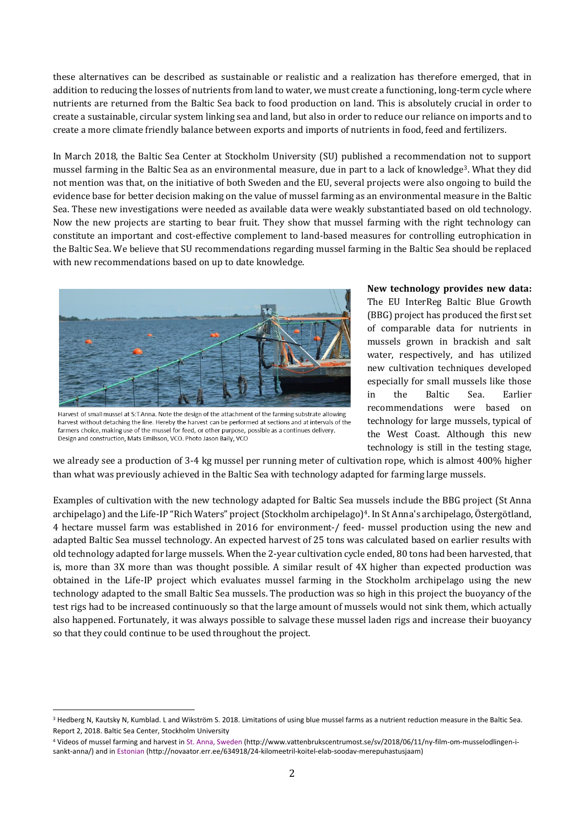these alternatives can be described as sustainable or realistic and a realization has therefore emerged, that in addition to reducing the losses of nutrients from land to water, we must create a functioning, long-term cycle where nutrients are returned from the Baltic Sea back to food production on land. This is absolutely crucial in order to create a sustainable, circular system linking sea and land, but also in order to reduce our reliance on imports and to create a more climate friendly balance between exports and imports of nutrients in food, feed and fertilizers.

In March 2018, the Baltic Sea Center at Stockholm University (SU) published a recommendation not to support mussel farming in the Baltic Sea as an environmental measure, due in part to a lack of knowledge3. What they did not mention was that, on the initiative of both Sweden and the EU, several projects were also ongoing to build the evidence base for better decision making on the value of mussel farming as an environmental measure in the Baltic Sea. These new investigations were needed as available data were weakly substantiated based on old technology. Now the new projects are starting to bear fruit. They show that mussel farming with the right technology can constitute an important and cost-effective complement to land-based measures for controlling eutrophication in the Baltic Sea. We believe that SU recommendations regarding mussel farming in the Baltic Sea should be replaced with new recommendations based on up to date knowledge.



Harvest of small mussel at S:T Anna. Note the design of the attachment of the farming substrate allowing harvest without detaching the line. Hereby the harvest can be performed at sections and at intervals of the farmers choice, making use of the mussel for feed, or other purpose, possible as a continues delivery. Design and construction, Mats Emilsson, VCO. Photo Jason Baily, VCO

**New technology provides new data:**  The EU InterReg Baltic Blue Growth (BBG) project has produced the first set of comparable data for nutrients in mussels grown in brackish and salt water, respectively, and has utilized new cultivation techniques developed especially for small mussels like those in the Baltic Sea. Earlier recommendations were based on technology for large mussels, typical of the West Coast. Although this new technology is still in the testing stage,

we already see a production of 3-4 kg mussel per running meter of cultivation rope, which is almost 400% higher than what was previously achieved in the Baltic Sea with technology adapted for farming large mussels.

Examples of cultivation with the new technology adapted for Baltic Sea mussels include the BBG project (St Anna archipelago) and the Life-IP "Rich Waters" project (Stockholm archipelago)4. In St Anna's archipelago, Östergötland, 4 hectare mussel farm was established in 2016 for environment-/ feed- mussel production using the new and adapted Baltic Sea mussel technology. An expected harvest of 25 tons was calculated based on earlier results with old technology adapted for large mussels. When the 2-year cultivation cycle ended, 80 tons had been harvested, that is, more than 3X more than was thought possible. A similar result of 4X higher than expected production was obtained in the Life-IP project which evaluates mussel farming in the Stockholm archipelago using the new technology adapted to the small Baltic Sea mussels. The production was so high in this project the buoyancy of the test rigs had to be increased continuously so that the large amount of mussels would not sink them, which actually also happened. Fortunately, it was always possible to salvage these mussel laden rigs and increase their buoyancy so that they could continue to be used throughout the project.

**<sup>.</sup>** <sup>3</sup> Hedberg N, Kautsky N, Kumblad. L and Wikström S, 2018. Limitations of using blue mussel farms as a nutrient reduction measure in the Baltic Sea. Report 2, 2018. Baltic Sea Center, Stockholm University

<sup>4</sup> Videos of mussel farming and harvest i[n St. Anna, Sweden](http://www.vattenbrukscentrumost.se/sv/2018/06/11/ny‐film‐om‐musselodlingen‐i‐sankt‐%20anna/) (http://www.vattenbrukscentrumost.se/sv/2018/06/11/ny-film-om-musselodlingen-isankt-anna/) and i[n Estonian](http://novaator.err.ee/634918/24‐kilomeetril‐koitel‐elab‐soodav‐merepuhastusjaam) (http://novaator.err.ee/634918/24-kilomeetril-koitel-elab-soodav-merepuhastusjaam)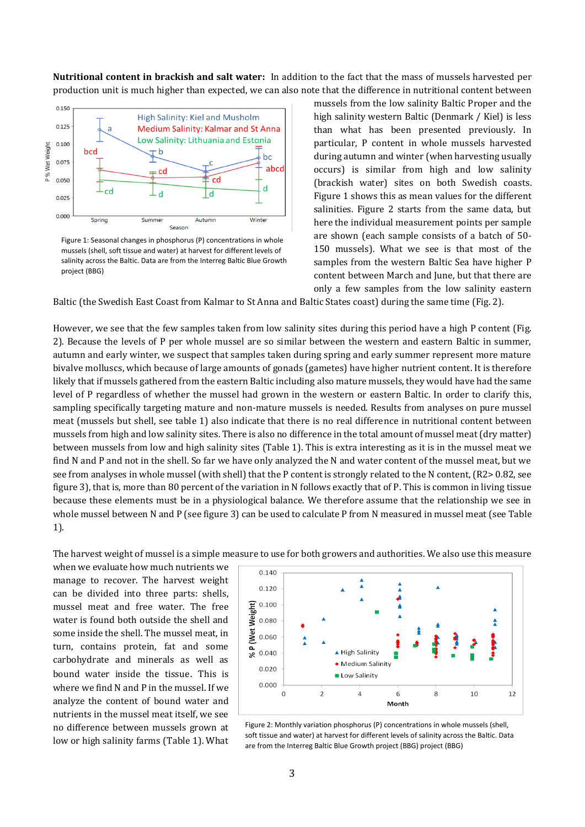**Nutritional content in brackish and salt water:** In addition to the fact that the mass of mussels harvested per production unit is much higher than expected, we can also note that the difference in nutritional content between



Figure 1: Seasonal changes in phosphorus (P) concentrations in whole mussels (shell, soft tissue and water) at harvest for different levels of salinity across the Baltic. Data are from the Interreg Baltic Blue Growth project (BBG)

mussels from the low salinity Baltic Proper and the high salinity western Baltic (Denmark / Kiel) is less than what has been presented previously. In particular, P content in whole mussels harvested during autumn and winter (when harvesting usually occurs) is similar from high and low salinity (brackish water) sites on both Swedish coasts. Figure 1 shows this as mean values for the different salinities. Figure 2 starts from the same data, but here the individual measurement points per sample are shown (each sample consists of a batch of 50- 150 mussels). What we see is that most of the samples from the western Baltic Sea have higher P content between March and June, but that there are only a few samples from the low salinity eastern

Baltic (the Swedish East Coast from Kalmar to St Anna and Baltic States coast) during the same time (Fig. 2).

However, we see that the few samples taken from low salinity sites during this period have a high P content (Fig. 2). Because the levels of P per whole mussel are so similar between the western and eastern Baltic in summer, autumn and early winter, we suspect that samples taken during spring and early summer represent more mature bivalve molluscs, which because of large amounts of gonads (gametes) have higher nutrient content. It is therefore likely that if mussels gathered from the eastern Baltic including also mature mussels, they would have had the same level of P regardless of whether the mussel had grown in the western or eastern Baltic. In order to clarify this, sampling specifically targeting mature and non-mature mussels is needed. Results from analyses on pure mussel meat (mussels but shell, see table 1) also indicate that there is no real difference in nutritional content between mussels from high and low salinity sites. There is also no difference in the total amount of mussel meat (dry matter) between mussels from low and high salinity sites (Table 1). This is extra interesting as it is in the mussel meat we find N and P and not in the shell. So far we have only analyzed the N and water content of the mussel meat, but we see from analyses in whole mussel (with shell) that the P content is strongly related to the N content, (R2> 0.82, see figure 3), that is, more than 80 percent of the variation in N follows exactly that of P. This is common in living tissue because these elements must be in a physiological balance. We therefore assume that the relationship we see in whole mussel between N and P (see figure 3) can be used to calculate P from N measured in mussel meat (see Table 1).

The harvest weight of mussel is a simple measure to use for both growers and authorities. We also use this measure

when we evaluate how much nutrients we manage to recover. The harvest weight can be divided into three parts: shells, mussel meat and free water. The free water is found both outside the shell and some inside the shell. The mussel meat, in turn, contains protein, fat and some carbohydrate and minerals as well as bound water inside the tissue. This is where we find N and P in the mussel. If we analyze the content of bound water and nutrients in the mussel meat itself, we see no difference between mussels grown at low or high salinity farms (Table 1). What



Figure 2: Monthly variation phosphorus (P) concentrations in whole mussels (shell, soft tissue and water) at harvest for different levels of salinity across the Baltic. Data are from the Interreg Baltic Blue Growth project (BBG) project (BBG)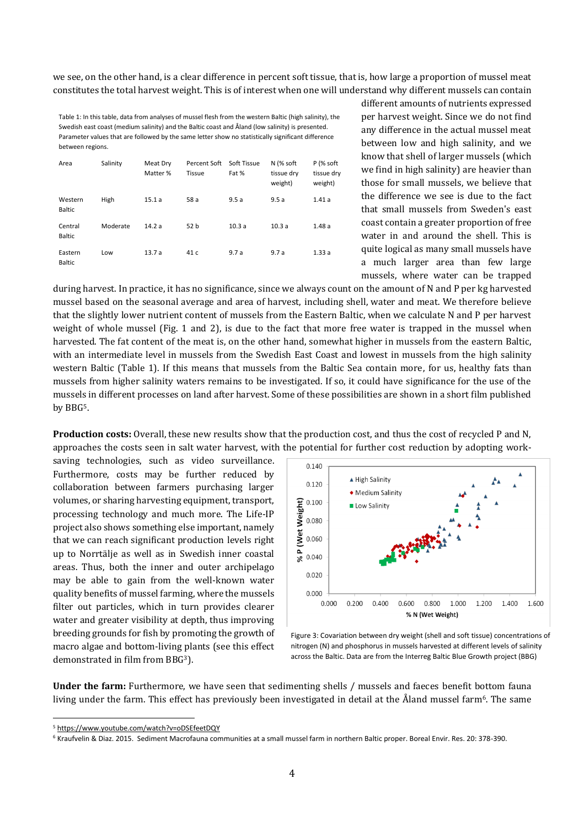we see, on the other hand, is a clear difference in percent soft tissue, that is, how large a proportion of mussel meat constitutes the total harvest weight. This is of interest when one will understand why different mussels can contain

Table 1: In this table, data from analyses of mussel flesh from the western Baltic (high salinity), the Swedish east coast (medium salinity) and the Baltic coast and Åland (low salinity) is presented. Parameter values that are followed by the same letter show no statistically significant difference between regions.

| Area                     | Salinity | Meat Dry<br>Matter % | Percent Soft<br>Tissue | Soft Tissue<br>Fat % | N (% soft<br>tissue dry<br>weight) | P (% soft<br>tissue dry<br>weight) |
|--------------------------|----------|----------------------|------------------------|----------------------|------------------------------------|------------------------------------|
| Western<br><b>Baltic</b> | High     | 15.1a                | 58 a                   | 9.5a                 | 9.5a                               | 1.41a                              |
| Central<br><b>Baltic</b> | Moderate | 14.2a                | 52 b                   | 10.3a                | 10.3a                              | 1.48a                              |
| Eastern<br><b>Baltic</b> | Low      | 13.7a                | 41 c                   | 9.7a                 | 9.7a                               | 1.33a                              |

different amounts of nutrients expressed per harvest weight. Since we do not find any difference in the actual mussel meat between low and high salinity, and we know that shell of larger mussels (which we find in high salinity) are heavier than those for small mussels, we believe that the difference we see is due to the fact that small mussels from Sweden's east coast contain a greater proportion of free water in and around the shell. This is quite logical as many small mussels have a much larger area than few large mussels, where water can be trapped

during harvest. In practice, it has no significance, since we always count on the amount of N and P per kg harvested mussel based on the seasonal average and area of harvest, including shell, water and meat. We therefore believe that the slightly lower nutrient content of mussels from the Eastern Baltic, when we calculate N and P per harvest weight of whole mussel (Fig. 1 and 2), is due to the fact that more free water is trapped in the mussel when harvested. The fat content of the meat is, on the other hand, somewhat higher in mussels from the eastern Baltic, with an intermediate level in mussels from the Swedish East Coast and lowest in mussels from the high salinity western Baltic (Table 1). If this means that mussels from the Baltic Sea contain more, for us, healthy fats than mussels from higher salinity waters remains to be investigated. If so, it could have significance for the use of the mussels in different processes on land after harvest. Some of these possibilities are shown in a short film published by BBG5.

**Production costs:** Overall, these new results show that the production cost, and thus the cost of recycled P and N, approaches the costs seen in salt water harvest, with the potential for further cost reduction by adopting work-

saving technologies, such as video surveillance. Furthermore, costs may be further reduced by collaboration between farmers purchasing larger volumes, or sharing harvesting equipment, transport, processing technology and much more. The Life-IP project also shows something else important, namely that we can reach significant production levels right up to Norrtälje as well as in Swedish inner coastal areas. Thus, both the inner and outer archipelago may be able to gain from the well-known water quality benefits of mussel farming, where the mussels filter out particles, which in turn provides clearer water and greater visibility at depth, thus improving breeding grounds for fish by promoting the growth of macro algae and bottom-living plants (see this effect demonstrated in film from BBG<sup>3</sup>).



Figure 3: Covariation between dry weight (shell and soft tissue) concentrations of nitrogen (N) and phosphorus in mussels harvested at different levels of salinity across the Baltic. Data are from the Interreg Baltic Blue Growth project (BBG)

**Under the farm:** Furthermore, we have seen that sedimenting shells / mussels and faeces benefit bottom fauna living under the farm. This effect has previously been investigated in detail at the Åland mussel farm<sup>6</sup>. The same

**.** 

<sup>5</sup> <https://www.youtube.com/watch?v=oDSEfeetDQY>

<sup>6</sup> Kraufvelin & Diaz. 2015. Sediment Macrofauna communities at a small mussel farm in northern Baltic proper. Boreal Envir. Res. 20: 378-390.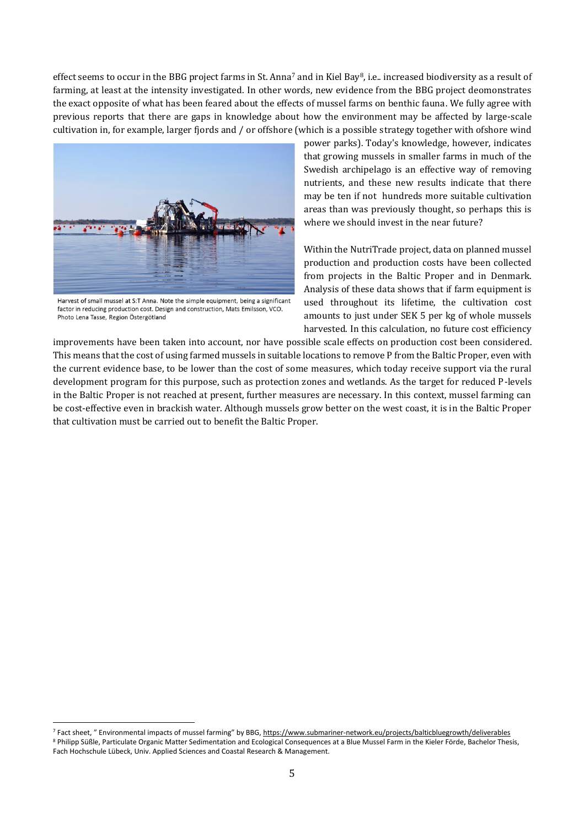effect seems to occur in the BBG project farms in St. Anna<sup>7</sup> and in Kiel Bay8, i.e.. increased biodiversity as a result of farming, at least at the intensity investigated. In other words, new evidence from the BBG project deomonstrates the exact opposite of what has been feared about the effects of mussel farms on benthic fauna. We fully agree with previous reports that there are gaps in knowledge about how the environment may be affected by large-scale cultivation in, for example, larger fjords and / or offshore (which is a possible strategy together with ofshore wind



Harvest of small mussel at S:T Anna. Note the simple equipment, being a significant factor in reducing production cost. Design and construction, Mats Emilsson, VCO. Photo Lena Tasse, Region Östergötland

**.** 

power parks). Today's knowledge, however, indicates that growing mussels in smaller farms in much of the Swedish archipelago is an effective way of removing nutrients, and these new results indicate that there may be ten if not hundreds more suitable cultivation areas than was previously thought, so perhaps this is where we should invest in the near future?

Within the NutriTrade project, data on planned mussel production and production costs have been collected from projects in the Baltic Proper and in Denmark. Analysis of these data shows that if farm equipment is used throughout its lifetime, the cultivation cost amounts to just under SEK 5 per kg of whole mussels harvested. In this calculation, no future cost efficiency

improvements have been taken into account, nor have possible scale effects on production cost been considered. This means that the cost of using farmed mussels in suitable locations to remove P from the Baltic Proper, even with the current evidence base, to be lower than the cost of some measures, which today receive support via the rural development program for this purpose, such as protection zones and wetlands. As the target for reduced P-levels in the Baltic Proper is not reached at present, further measures are necessary. In this context, mussel farming can be cost-effective even in brackish water. Although mussels grow better on the west coast, it is in the Baltic Proper that cultivation must be carried out to benefit the Baltic Proper.

<sup>7</sup> Fact sheet, " Environmental impacts of mussel farming" by BBG, <https://www.submariner-network.eu/projects/balticbluegrowth/deliverables> <sup>8</sup> Philipp Süßle, Particulate Organic Matter Sedimentation and Ecological Consequences at a Blue Mussel Farm in the Kieler Förde, Bachelor Thesis, Fach Hochschule Lübeck, Univ. Applied Sciences and Coastal Research & Management.